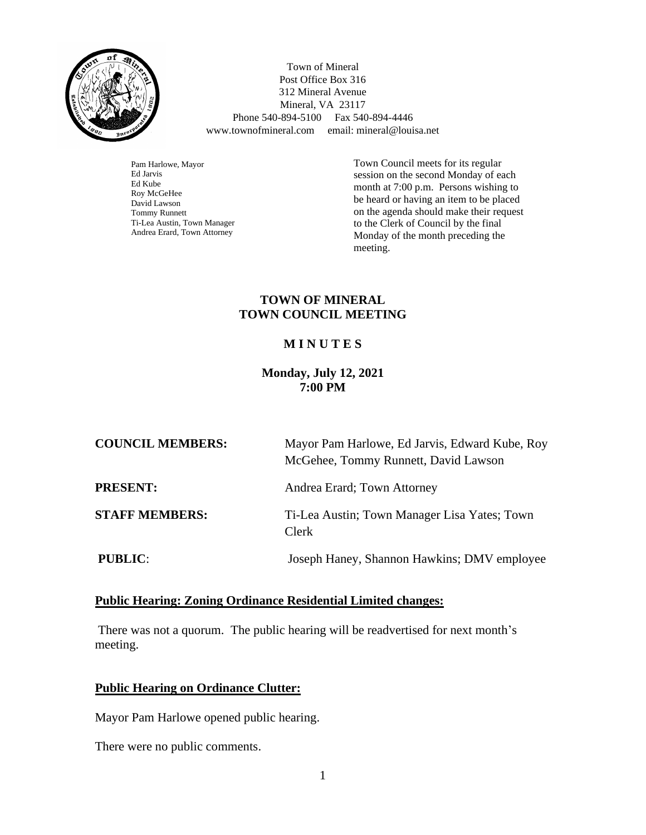

 Town of Mineral Post Office Box 316 312 Mineral Avenue Mineral, VA 23117 Phone 540-894-5100 Fax 540-894-4446 www.townofmineral.com email: mineral@louisa.net

Pam Harlowe, Mayor Ed Jarvis Ed Kube Roy McGeHee David Lawson Tommy Runnett Ti-Lea Austin, Town Manager Andrea Erard, Town Attorney

Town Council meets for its regular session on the second Monday of each month at 7:00 p.m. Persons wishing to be heard or having an item to be placed on the agenda should make their request to the Clerk of Council by the final Monday of the month preceding the meeting.

### **TOWN OF MINERAL TOWN COUNCIL MEETING**

# **M I N U T E S**

### **Monday, July 12, 2021 7:00 PM**

| <b>COUNCIL MEMBERS:</b> | Mayor Pam Harlowe, Ed Jarvis, Edward Kube, Roy<br>McGehee, Tommy Runnett, David Lawson |
|-------------------------|----------------------------------------------------------------------------------------|
| <b>PRESENT:</b>         | Andrea Erard; Town Attorney                                                            |
| <b>STAFF MEMBERS:</b>   | Ti-Lea Austin; Town Manager Lisa Yates; Town<br>Clerk                                  |
| <b>PUBLIC:</b>          | Joseph Haney, Shannon Hawkins; DMV employee                                            |

### **Public Hearing: Zoning Ordinance Residential Limited changes:**

There was not a quorum. The public hearing will be readvertised for next month's meeting.

### **Public Hearing on Ordinance Clutter:**

Mayor Pam Harlowe opened public hearing.

There were no public comments.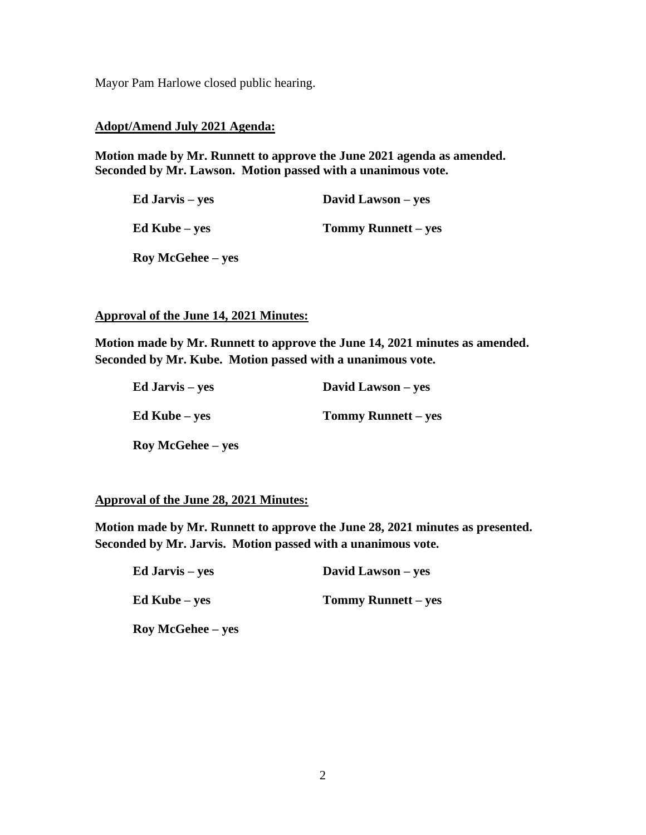Mayor Pam Harlowe closed public hearing.

#### **Adopt/Amend July 2021 Agenda:**

**Motion made by Mr. Runnett to approve the June 2021 agenda as amended. Seconded by Mr. Lawson. Motion passed with a unanimous vote.**

| Ed Jarvis – yes      | David Lawson – yes         |
|----------------------|----------------------------|
| $Ed$ Kube – yes      | <b>Tommy Runnett</b> – yes |
| $\log McGehee - yes$ |                            |

**Approval of the June 14, 2021 Minutes:**

**Motion made by Mr. Runnett to approve the June 14, 2021 minutes as amended. Seconded by Mr. Kube. Motion passed with a unanimous vote.** 

| Ed Jarvis – yes   | David Lawson – yes         |
|-------------------|----------------------------|
| $Ed$ Kube – yes   | <b>Tommy Runnett</b> – yes |
| Roy McGehee – yes |                            |

**Approval of the June 28, 2021 Minutes:**

**Motion made by Mr. Runnett to approve the June 28, 2021 minutes as presented. Seconded by Mr. Jarvis. Motion passed with a unanimous vote.**

| Ed Jarvis – yes   | David Lawson – yes  |
|-------------------|---------------------|
| $Ed$ Kube – yes   | Tommy Runnett – yes |
| Roy McGehee – yes |                     |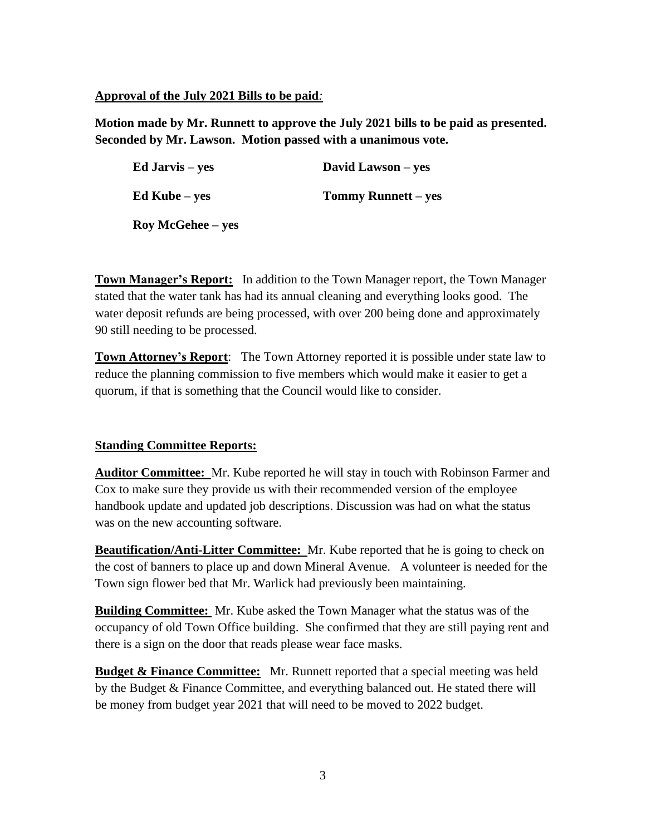### **Approval of the July 2021 Bills to be paid***:*

**Motion made by Mr. Runnett to approve the July 2021 bills to be paid as presented. Seconded by Mr. Lawson. Motion passed with a unanimous vote.**

| Ed Jarvis – yes          | David Lawson – yes  |
|--------------------------|---------------------|
| $Ed$ Kube – yes          | Tommy Runnett – yes |
| <b>Roy McGehee</b> – yes |                     |

**Town Manager's Report:** In addition to the Town Manager report, the Town Manager stated that the water tank has had its annual cleaning and everything looks good. The water deposit refunds are being processed, with over 200 being done and approximately 90 still needing to be processed.

**Town Attorney's Report**: The Town Attorney reported it is possible under state law to reduce the planning commission to five members which would make it easier to get a quorum, if that is something that the Council would like to consider.

# **Standing Committee Reports:**

**Auditor Committee:** Mr. Kube reported he will stay in touch with Robinson Farmer and Cox to make sure they provide us with their recommended version of the employee handbook update and updated job descriptions. Discussion was had on what the status was on the new accounting software.

**Beautification/Anti-Litter Committee:** Mr. Kube reported that he is going to check on the cost of banners to place up and down Mineral Avenue. A volunteer is needed for the Town sign flower bed that Mr. Warlick had previously been maintaining.

**Building Committee:** Mr. Kube asked the Town Manager what the status was of the occupancy of old Town Office building. She confirmed that they are still paying rent and there is a sign on the door that reads please wear face masks.

**Budget & Finance Committee:** Mr. Runnett reported that a special meeting was held by the Budget & Finance Committee, and everything balanced out. He stated there will be money from budget year 2021 that will need to be moved to 2022 budget.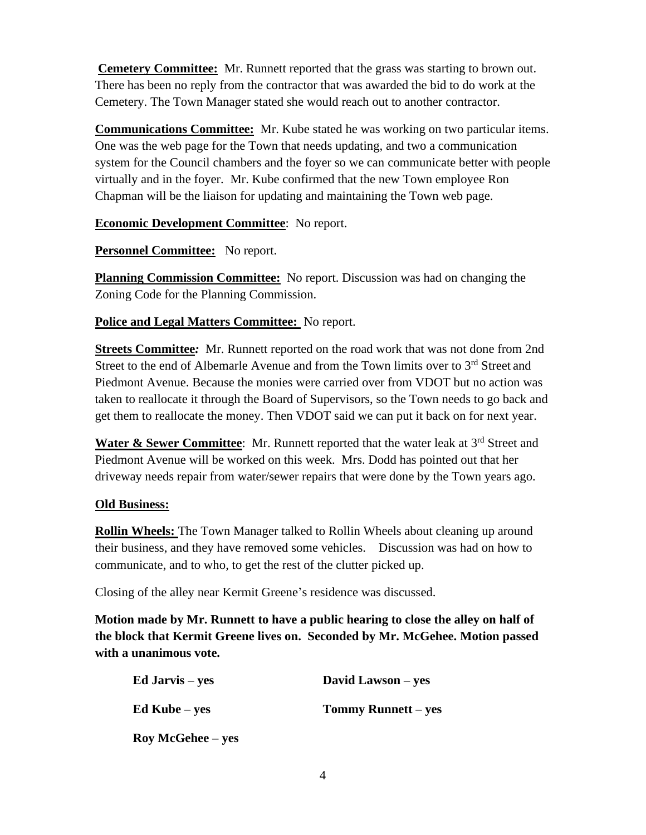**Cemetery Committee:** Mr. Runnett reported that the grass was starting to brown out. There has been no reply from the contractor that was awarded the bid to do work at the Cemetery. The Town Manager stated she would reach out to another contractor.

**Communications Committee:** Mr. Kube stated he was working on two particular items. One was the web page for the Town that needs updating, and two a communication system for the Council chambers and the foyer so we can communicate better with people virtually and in the foyer. Mr. Kube confirmed that the new Town employee Ron Chapman will be the liaison for updating and maintaining the Town web page.

**Economic Development Committee**: No report.

**Personnel Committee:** No report.

**Planning Commission Committee:** No report. Discussion was had on changing the Zoning Code for the Planning Commission.

**Police and Legal Matters Committee:** No report.

**Streets Committee***:* Mr. Runnett reported on the road work that was not done from 2nd Street to the end of Albemarle Avenue and from the Town limits over to 3<sup>rd</sup> Street and Piedmont Avenue. Because the monies were carried over from VDOT but no action was taken to reallocate it through the Board of Supervisors, so the Town needs to go back and get them to reallocate the money. Then VDOT said we can put it back on for next year.

Water & Sewer Committee: Mr. Runnett reported that the water leak at 3<sup>rd</sup> Street and Piedmont Avenue will be worked on this week. Mrs. Dodd has pointed out that her driveway needs repair from water/sewer repairs that were done by the Town years ago.

# **Old Business:**

**Rollin Wheels:** The Town Manager talked to Rollin Wheels about cleaning up around their business, and they have removed some vehicles. Discussion was had on how to communicate, and to who, to get the rest of the clutter picked up.

Closing of the alley near Kermit Greene's residence was discussed.

**Motion made by Mr. Runnett to have a public hearing to close the alley on half of the block that Kermit Greene lives on. Seconded by Mr. McGehee. Motion passed with a unanimous vote.**

| Ed Jarvis – yes      | David Lawson – yes         |
|----------------------|----------------------------|
| $Ed$ Kube – yes      | <b>Tommy Runnett</b> – yes |
| $\log McGehee - yes$ |                            |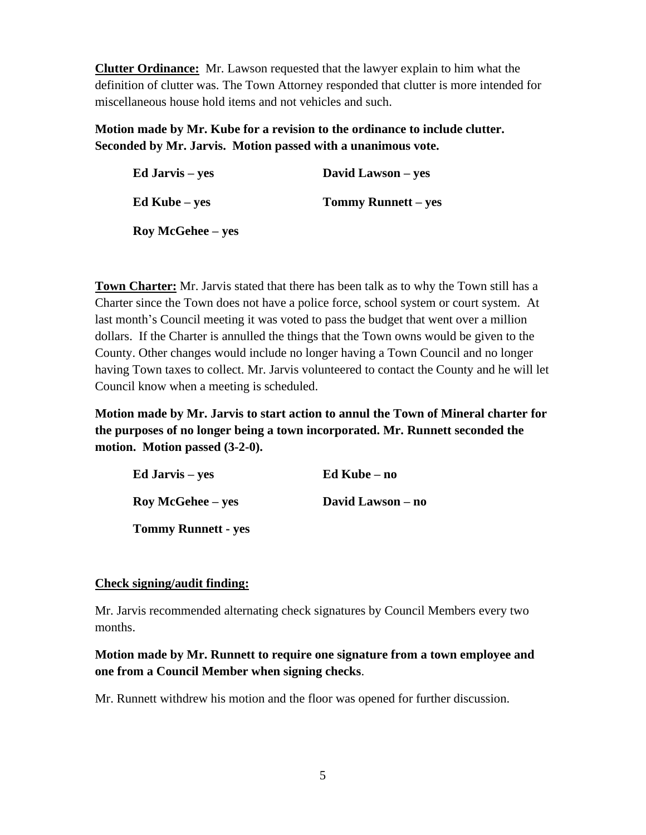**Clutter Ordinance:** Mr. Lawson requested that the lawyer explain to him what the definition of clutter was. The Town Attorney responded that clutter is more intended for miscellaneous house hold items and not vehicles and such.

**Motion made by Mr. Kube for a revision to the ordinance to include clutter. Seconded by Mr. Jarvis. Motion passed with a unanimous vote.**

| Ed Jarvis – yes   | David Lawson – yes         |
|-------------------|----------------------------|
| $Ed$ Kube – yes   | <b>Tommy Runnett</b> – yes |
| Roy McGehee – yes |                            |

**Town Charter:** Mr. Jarvis stated that there has been talk as to why the Town still has a Charter since the Town does not have a police force, school system or court system. At last month's Council meeting it was voted to pass the budget that went over a million dollars. If the Charter is annulled the things that the Town owns would be given to the County. Other changes would include no longer having a Town Council and no longer having Town taxes to collect. Mr. Jarvis volunteered to contact the County and he will let Council know when a meeting is scheduled.

**Motion made by Mr. Jarvis to start action to annul the Town of Mineral charter for the purposes of no longer being a town incorporated. Mr. Runnett seconded the motion. Motion passed (3-2-0).**

| Ed Jarvis – yes            | $Ed$ Kube – no    |
|----------------------------|-------------------|
| <b>Roy McGehee – yes</b>   | David Lawson – no |
| <b>Tommy Runnett - yes</b> |                   |

### **Check signing/audit finding:**

Mr. Jarvis recommended alternating check signatures by Council Members every two months.

**Motion made by Mr. Runnett to require one signature from a town employee and one from a Council Member when signing checks**.

Mr. Runnett withdrew his motion and the floor was opened for further discussion.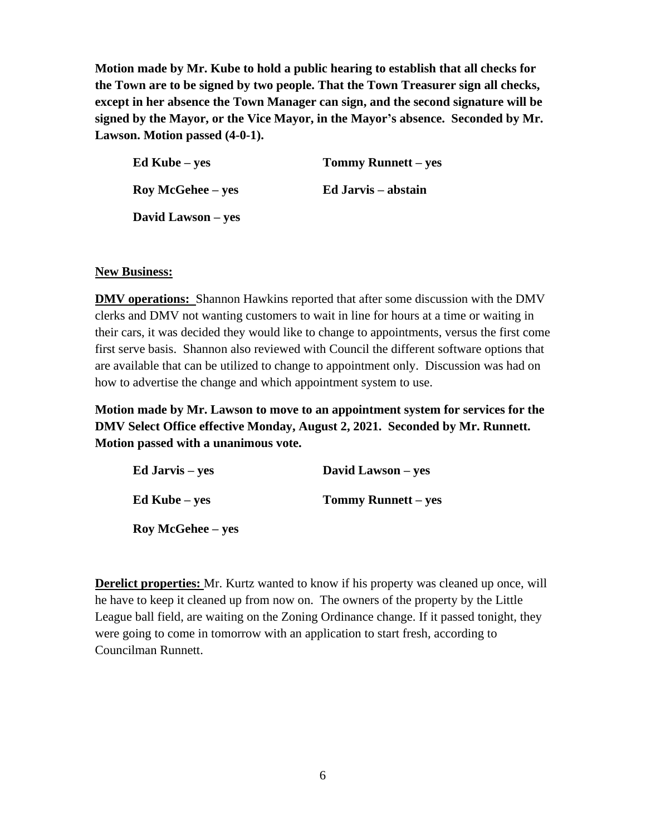**Motion made by Mr. Kube to hold a public hearing to establish that all checks for the Town are to be signed by two people. That the Town Treasurer sign all checks, except in her absence the Town Manager can sign, and the second signature will be signed by the Mayor, or the Vice Mayor, in the Mayor's absence. Seconded by Mr. Lawson. Motion passed (4-0-1).**

| Ed Kube – yes        | Tommy Runnett – yes |
|----------------------|---------------------|
| $\log McGehee - yes$ | Ed Jarvis – abstain |
| David Lawson – yes   |                     |

### **New Business:**

**DMV operations:** Shannon Hawkins reported that after some discussion with the DMV clerks and DMV not wanting customers to wait in line for hours at a time or waiting in their cars, it was decided they would like to change to appointments, versus the first come first serve basis. Shannon also reviewed with Council the different software options that are available that can be utilized to change to appointment only. Discussion was had on how to advertise the change and which appointment system to use.

**Motion made by Mr. Lawson to move to an appointment system for services for the DMV Select Office effective Monday, August 2, 2021. Seconded by Mr. Runnett. Motion passed with a unanimous vote.**

| Ed Jarvis – yes          | David Lawson – yes         |
|--------------------------|----------------------------|
| Ed Kube – ves            | <b>Tommy Runnett</b> – yes |
| <b>Roy McGehee</b> – yes |                            |

**Derelict properties:** Mr. Kurtz wanted to know if his property was cleaned up once, will he have to keep it cleaned up from now on. The owners of the property by the Little League ball field, are waiting on the Zoning Ordinance change. If it passed tonight, they were going to come in tomorrow with an application to start fresh, according to Councilman Runnett.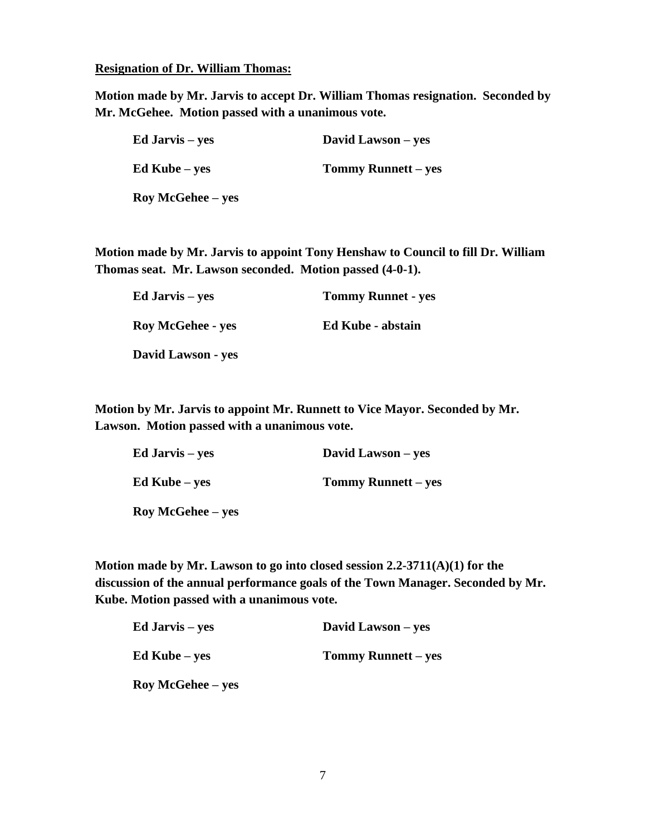#### **Resignation of Dr. William Thomas:**

**Motion made by Mr. Jarvis to accept Dr. William Thomas resignation. Seconded by Mr. McGehee. Motion passed with a unanimous vote.**

| Ed Jarvis – yes          | David Lawson – yes         |
|--------------------------|----------------------------|
| $Ed$ Kube – yes          | <b>Tommy Runnett</b> – yes |
| <b>Roy McGehee</b> – yes |                            |

**Motion made by Mr. Jarvis to appoint Tony Henshaw to Council to fill Dr. William Thomas seat. Mr. Lawson seconded. Motion passed (4-0-1).**

| Ed Jarvis – yes          | <b>Tommy Runnet - yes</b> |
|--------------------------|---------------------------|
| <b>Roy McGehee - yes</b> | <b>Ed Kube - abstain</b>  |
| David Lawson - yes       |                           |

**Motion by Mr. Jarvis to appoint Mr. Runnett to Vice Mayor. Seconded by Mr. Lawson. Motion passed with a unanimous vote.** 

| Ed Jarvis – yes      | David Lawson – yes         |
|----------------------|----------------------------|
| $Ed$ Kube – yes      | <b>Tommy Runnett</b> – yes |
| $\log McGehee - yes$ |                            |

**Motion made by Mr. Lawson to go into closed session 2.2-3711(A)(1) for the discussion of the annual performance goals of the Town Manager. Seconded by Mr. Kube. Motion passed with a unanimous vote.**

| Ed Jarvis – yes      | David Lawson – yes         |
|----------------------|----------------------------|
| $Ed$ Kube – yes      | <b>Tommy Runnett</b> – yes |
| $\log McGehee - yes$ |                            |